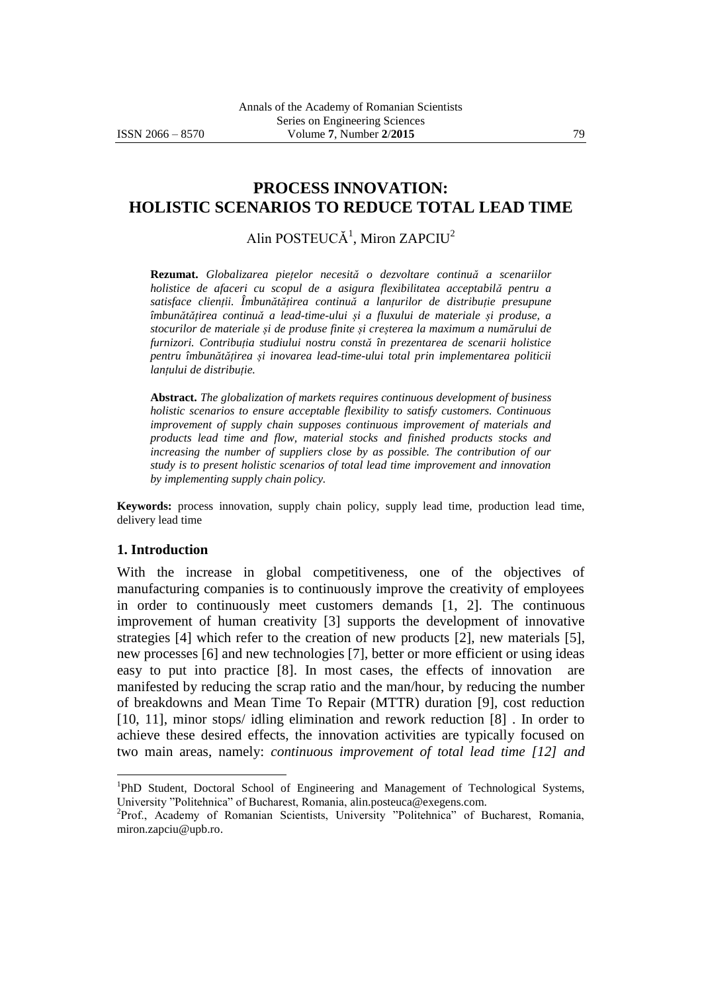# **PROCESS INNOVATION: HOLISTIC SCENARIOS TO REDUCE TOTAL LEAD TIME**

Alin POSTEUCĂ<sup>1</sup>, Miron ZAPCIU<sup>2</sup>

**Rezumat.** *Globalizarea piețelor necesită o dezvoltare continuă a scenariilor holistice de afaceri cu scopul de a asigura flexibilitatea acceptabilă pentru a satisface clienții. Îmbunătățirea continuă a lanțurilor de distribuție presupune îmbunătățirea continuă a lead-time-ului și a fluxului de materiale și produse, a stocurilor de materiale și de produse finite și creșterea la maximum a numărului de furnizori. Contribuția studiului nostru constă în prezentarea de scenarii holistice pentru îmbunătățirea și inovarea lead-time-ului total prin implementarea politicii lanțului de distribuție.*

**Abstract.** *The globalization of markets requires continuous development of business holistic scenarios to ensure acceptable flexibility to satisfy customers. Continuous improvement of supply chain supposes continuous improvement of materials and products lead time and flow, material stocks and finished products stocks and*  increasing the number of suppliers close by as possible. The contribution of our *study is to present holistic scenarios of total lead time improvement and innovation by implementing supply chain policy.*

**Keywords:** process innovation, supply chain policy, supply lead time, production lead time, delivery lead time

#### **1. Introduction**

 $\overline{a}$ 

With the increase in global competitiveness, one of the objectives of manufacturing companies is to continuously improve the creativity of employees in order to continuously meet customers demands [1, 2]. The continuous improvement of human creativity [3] supports the development of innovative strategies [4] which refer to the creation of new products [2], new materials [5], new processes [6] and new technologies [7], better or more efficient or using ideas easy to put into practice [8]. In most cases, the effects of innovation are manifested by reducing the scrap ratio and the man/hour, by reducing the number of breakdowns and Mean Time To Repair (MTTR) duration [9], cost reduction [10, 11], minor stops/ idling elimination and rework reduction [8]. In order to achieve these desired effects, the innovation activities are typically focused on two main areas, namely: *continuous improvement of total lead time [12] and* 

<sup>&</sup>lt;sup>1</sup>PhD Student, Doctoral School of Engineering and Management of Technological Systems, University "Politehnica" of Bucharest, Romania, alin.posteuca@exegens.com.

<sup>&</sup>lt;sup>2</sup>Prof., Academy of Romanian Scientists, University "Politehnica" of Bucharest, Romania, miron.zapciu@upb.ro.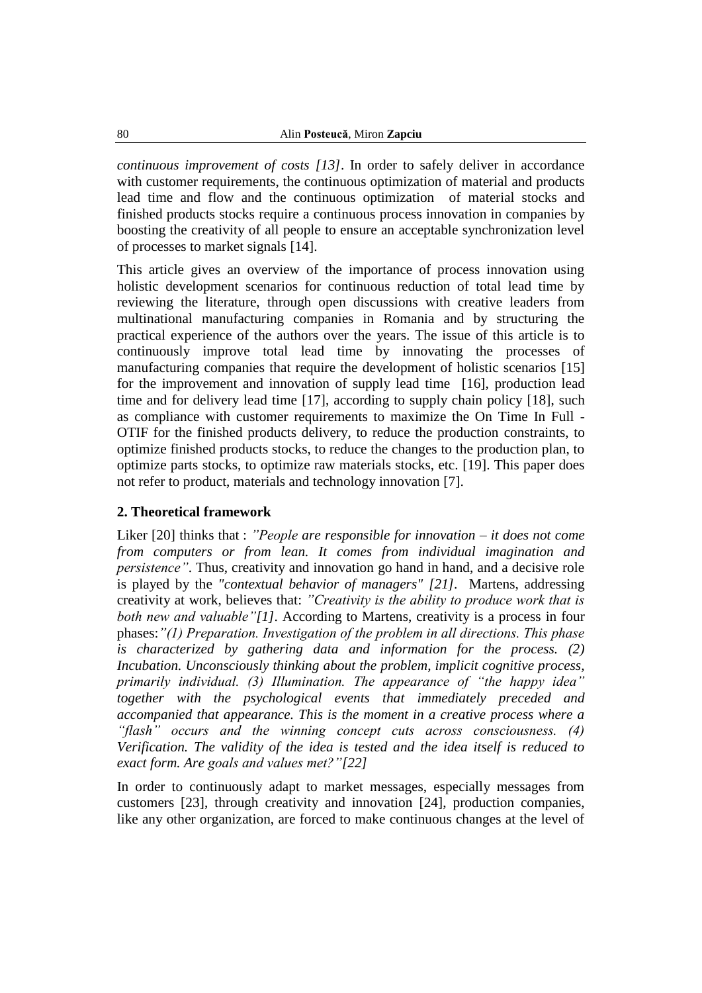*continuous improvement of costs [13]*. In order to safely deliver in accordance with customer requirements, the continuous optimization of material and products lead time and flow and the continuous optimization of material stocks and finished products stocks require a continuous process innovation in companies by boosting the creativity of all people to ensure an acceptable synchronization level of processes to market signals [14].

This article gives an overview of the importance of process innovation using holistic development scenarios for continuous reduction of total lead time by reviewing the literature, through open discussions with creative leaders from multinational manufacturing companies in Romania and by structuring the practical experience of the authors over the years. The issue of this article is to continuously improve total lead time by innovating the processes of manufacturing companies that require the development of holistic scenarios [15] for the improvement and innovation of supply lead time [16], production lead time and for delivery lead time [17], according to supply chain policy [18], such as compliance with customer requirements to maximize the On Time In Full - OTIF for the finished products delivery, to reduce the production constraints, to optimize finished products stocks, to reduce the changes to the production plan, to optimize parts stocks, to optimize raw materials stocks, etc. [19]. This paper does not refer to product, materials and technology innovation [7].

#### **2. Theoretical framework**

Liker [20] thinks that : *"People are responsible for innovation – it does not come from computers or from lean. It comes from individual imagination and persistence"*. Thus, creativity and innovation go hand in hand, and a decisive role is played by the *"contextual behavior of managers" [21].* Martens, addressing creativity at work, believes that: *"Creativity is the ability to produce work that is both new and valuable"[1].* According to Martens, creativity is a process in four phases:*"(1) Preparation. Investigation of the problem in all directions. This phase is characterized by gathering data and information for the process. (2) Incubation. Unconsciously thinking about the problem, implicit cognitive process, primarily individual. (3) Illumination. The appearance of "the happy idea" together with the psychological events that immediately preceded and accompanied that appearance. This is the moment in a creative process where a "flash" occurs and the winning concept cuts across consciousness. (4) Verification. The validity of the idea is tested and the idea itself is reduced to exact form. Are goals and values met?"[22]*

In order to continuously adapt to market messages, especially messages from customers [23], through creativity and innovation [24], production companies, like any other organization, are forced to make continuous changes at the level of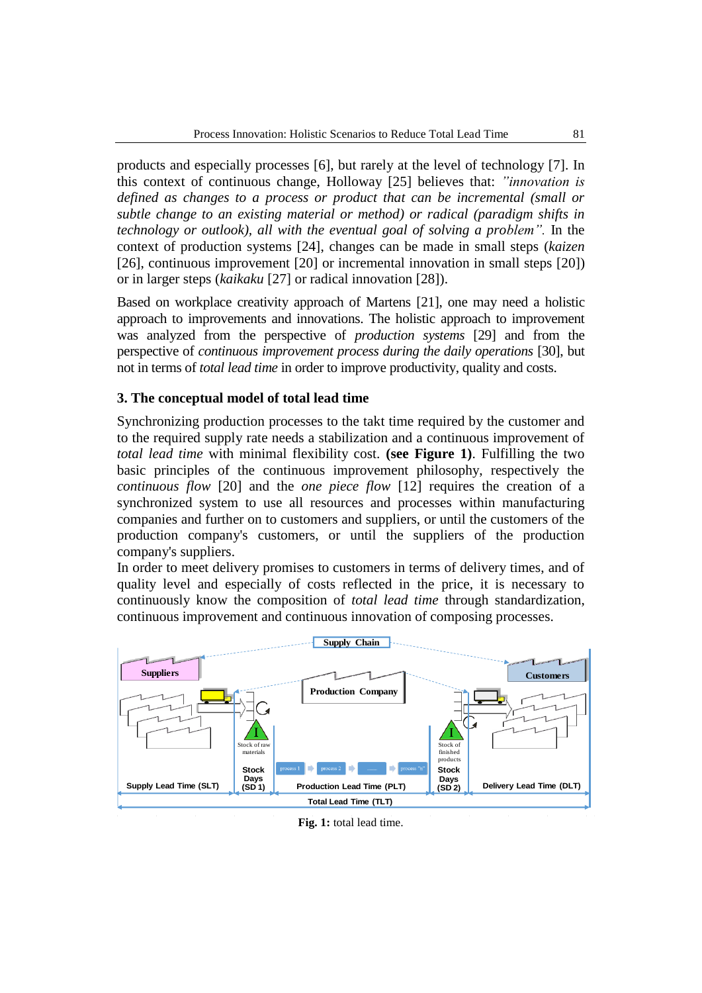products and especially processes [6], but rarely at the level of technology [7]. In this context of continuous change, Holloway [25] believes that: *"innovation is defined as changes to a process or product that can be incremental (small or subtle change to an existing material or method) or radical (paradigm shifts in technology or outlook), all with the eventual goal of solving a problem".* In the context of production systems [24], changes can be made in small steps (*kaizen* [26], continuous improvement [20] or incremental innovation in small steps [20]) or in larger steps (*kaikaku* [27] or radical innovation [28]).

Based on workplace creativity approach of Martens [21], one may need a holistic approach to improvements and innovations. The holistic approach to improvement was analyzed from the perspective of *production systems* [29] and from the perspective of *continuous improvement process during the daily operations* [30], but not in terms of *total lead time* in order to improve productivity, quality and costs.

## **3. The conceptual model of total lead time**

Synchronizing production processes to the takt time required by the customer and to the required supply rate needs a stabilization and a continuous improvement of *total lead time* with minimal flexibility cost. **(see Figure 1)**. Fulfilling the two basic principles of the continuous improvement philosophy, respectively the *continuous flow* [20] and the *one piece flow* [12] requires the creation of a synchronized system to use all resources and processes within manufacturing companies and further on to customers and suppliers, or until the customers of the production company's customers, or until the suppliers of the production company's suppliers.

In order to meet delivery promises to customers in terms of delivery times, and of quality level and especially of costs reflected in the price, it is necessary to continuously know the composition of *total lead time* through standardization, continuous improvement and continuous innovation of composing processes.



#### **Fig. 1:** total lead time.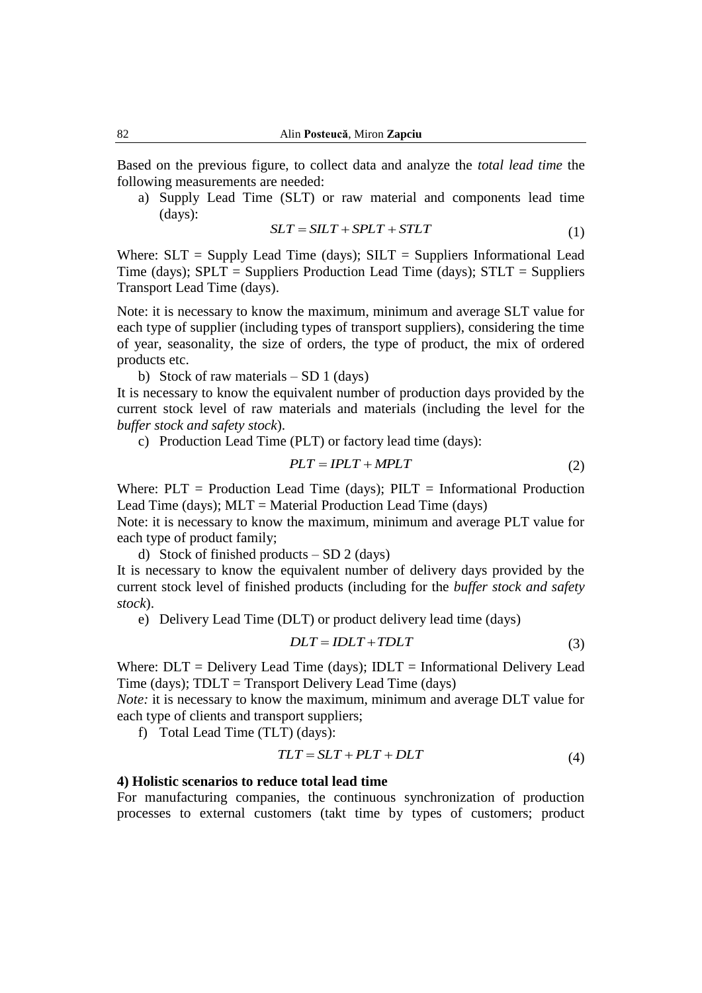Based on the previous figure, to collect data and analyze the *total lead time* the following measurements are needed:

a) Supply Lead Time (SLT) or raw material and components lead time (days):

$$
SLT = SLT + SPLT + STLT
$$
 (1)

Where:  $SLT =$  Supply Lead Time (days);  $SLT =$  Suppliers Informational Lead Time (days);  $SPLT =$  Suppliers Production Lead Time (days);  $STLT =$  Suppliers Transport Lead Time (days).

Note: it is necessary to know the maximum, minimum and average SLT value for each type of supplier (including types of transport suppliers), considering the time of year, seasonality, the size of orders, the type of product, the mix of ordered products etc.

b) Stock of raw materials  $- SD 1$  (days)

It is necessary to know the equivalent number of production days provided by the current stock level of raw materials and materials (including the level for the *buffer stock and safety stock*).

c) Production Lead Time (PLT) or factory lead time (days):

$$
PLT = IPLT + MPLT \tag{2}
$$

Where:  $PLT = \text{Production}\$  Lead Time (days);  $PILT = \text{Informational}\ \text{Production}$ Lead Time (days);  $MLT = Material Production$  Lead Time (days)

Note: it is necessary to know the maximum, minimum and average PLT value for each type of product family;

d) Stock of finished products  $- SD 2$  (days)

It is necessary to know the equivalent number of delivery days provided by the current stock level of finished products (including for the *buffer stock and safety stock*).

e) Delivery Lead Time (DLT) or product delivery lead time (days)

$$
DLT = IDLT + TDLT \tag{3}
$$

Where:  $DLT =$  Delivery Lead Time (days);  $IDLT =$  Informational Delivery Lead Time (days); TDLT = Transport Delivery Lead Time (days)

*Note:* it is necessary to know the maximum, minimum and average DLT value for each type of clients and transport suppliers;

f) Total Lead Time (TLT) (days):

$$
TLT = SLT + PLT + DLT \tag{4}
$$

#### **4) Holistic scenarios to reduce total lead time**

For manufacturing companies, the continuous synchronization of production processes to external customers (takt time by types of customers; product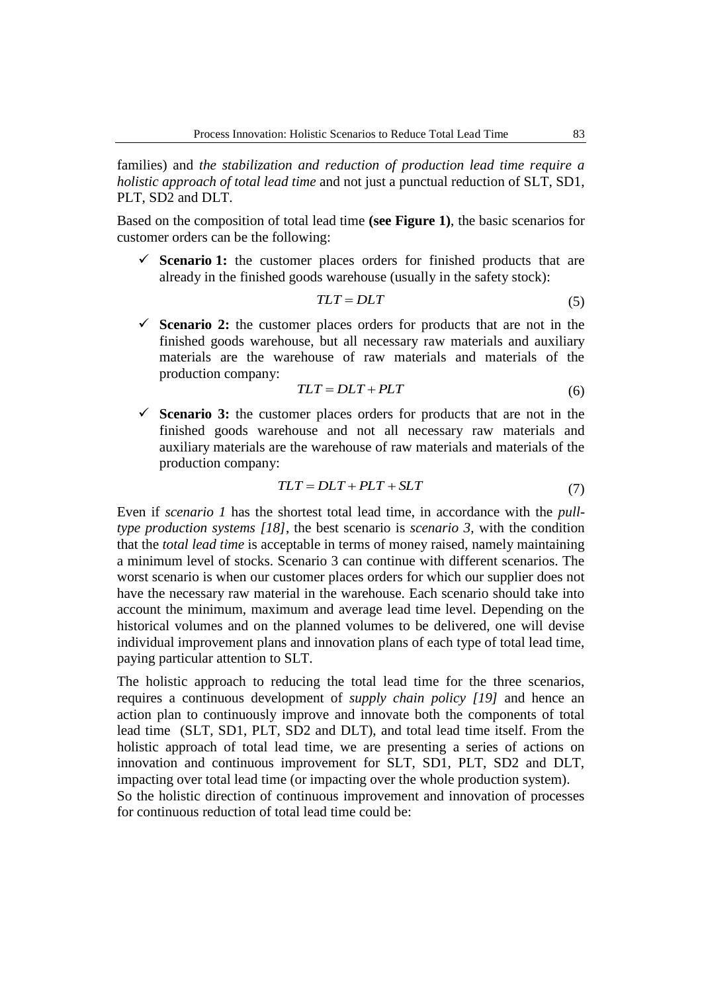families) and *the stabilization and reduction of production lead time require a holistic approach of total lead time* and not just a punctual reduction of SLT, SD1, PLT, SD2 and DLT.

Based on the composition of total lead time **(see Figure 1)**, the basic scenarios for customer orders can be the following:

 $\checkmark$  **Scenario 1:** the customer places orders for finished products that are already in the finished goods warehouse (usually in the safety stock):

$$
TLT = DLT \tag{5}
$$

 **Scenario 2:** the customer places orders for products that are not in the finished goods warehouse, but all necessary raw materials and auxiliary materials are the warehouse of raw materials and materials of the production company:

$$
TLT = DLT + PLT \tag{6}
$$

 **Scenario 3:** the customer places orders for products that are not in the finished goods warehouse and not all necessary raw materials and auxiliary materials are the warehouse of raw materials and materials of the production company:

$$
TLT = DLT + PLT + SLT \tag{7}
$$

Even if *scenario 1* has the shortest total lead time, in accordance with the *pulltype production systems [18]*, the best scenario is *scenario 3*, with the condition that the *total lead time* is acceptable in terms of money raised, namely maintaining a minimum level of stocks. Scenario 3 can continue with different scenarios. The worst scenario is when our customer places orders for which our supplier does not have the necessary raw material in the warehouse. Each scenario should take into account the minimum, maximum and average lead time level. Depending on the historical volumes and on the planned volumes to be delivered, one will devise individual improvement plans and innovation plans of each type of total lead time, paying particular attention to SLT.

The holistic approach to reducing the total lead time for the three scenarios, requires a continuous development of *supply chain policy [19]* and hence an action plan to continuously improve and innovate both the components of total lead time (SLT, SD1, PLT, SD2 and DLT), and total lead time itself. From the holistic approach of total lead time, we are presenting a series of actions on innovation and continuous improvement for SLT, SD1, PLT, SD2 and DLT, impacting over total lead time (or impacting over the whole production system). So the holistic direction of continuous improvement and innovation of processes for continuous reduction of total lead time could be: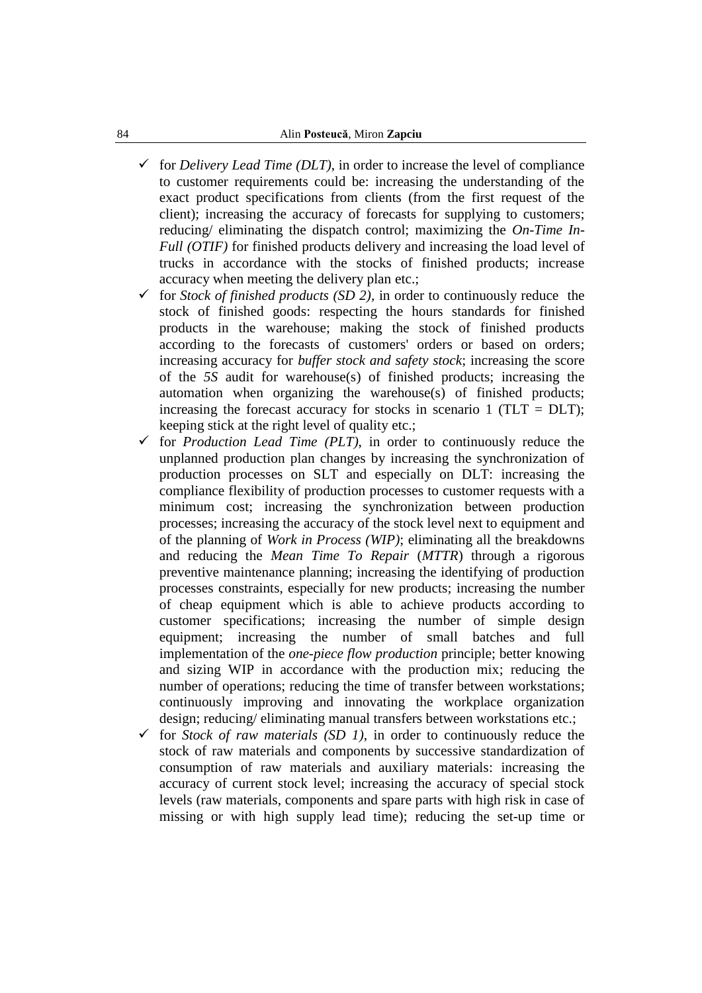- $\checkmark$  for *Delivery Lead Time (DLT)*, in order to increase the level of compliance to customer requirements could be: increasing the understanding of the exact product specifications from clients (from the first request of the client); increasing the accuracy of forecasts for supplying to customers; reducing/ eliminating the dispatch control; maximizing the *On-Time In-Full (OTIF)* for finished products delivery and increasing the load level of trucks in accordance with the stocks of finished products; increase accuracy when meeting the delivery plan etc.;
- for *Stock of finished products (SD 2),* in order to continuously reduce the stock of finished goods: respecting the hours standards for finished products in the warehouse; making the stock of finished products according to the forecasts of customers' orders or based on orders; increasing accuracy for *buffer stock and safety stock*; increasing the score of the *5S* audit for warehouse(s) of finished products; increasing the automation when organizing the warehouse(s) of finished products; increasing the forecast accuracy for stocks in scenario 1 (TLT =  $DLT$ ); keeping stick at the right level of quality etc.;
- for *Production Lead Time (PLT)*, in order to continuously reduce the unplanned production plan changes by increasing the synchronization of production processes on SLT and especially on DLT: increasing the compliance flexibility of production processes to customer requests with a minimum cost; increasing the synchronization between production processes; increasing the accuracy of the stock level next to equipment and of the planning of *Work in Process (WIP)*; eliminating all the breakdowns and reducing the *Mean Time To Repair* (*MTTR*) through a rigorous preventive maintenance planning; increasing the identifying of production processes constraints, especially for new products; increasing the number of cheap equipment which is able to achieve products according to customer specifications; increasing the number of simple design equipment; increasing the number of small batches and full implementation of the *one-piece flow production* principle; better knowing and sizing WIP in accordance with the production mix; reducing the number of operations; reducing the time of transfer between workstations; continuously improving and innovating the workplace organization design; reducing/ eliminating manual transfers between workstations etc.;
- $\checkmark$  for *Stock of raw materials (SD 1)*, in order to continuously reduce the stock of raw materials and components by successive standardization of consumption of raw materials and auxiliary materials: increasing the accuracy of current stock level; increasing the accuracy of special stock levels (raw materials, components and spare parts with high risk in case of missing or with high supply lead time); reducing the set-up time or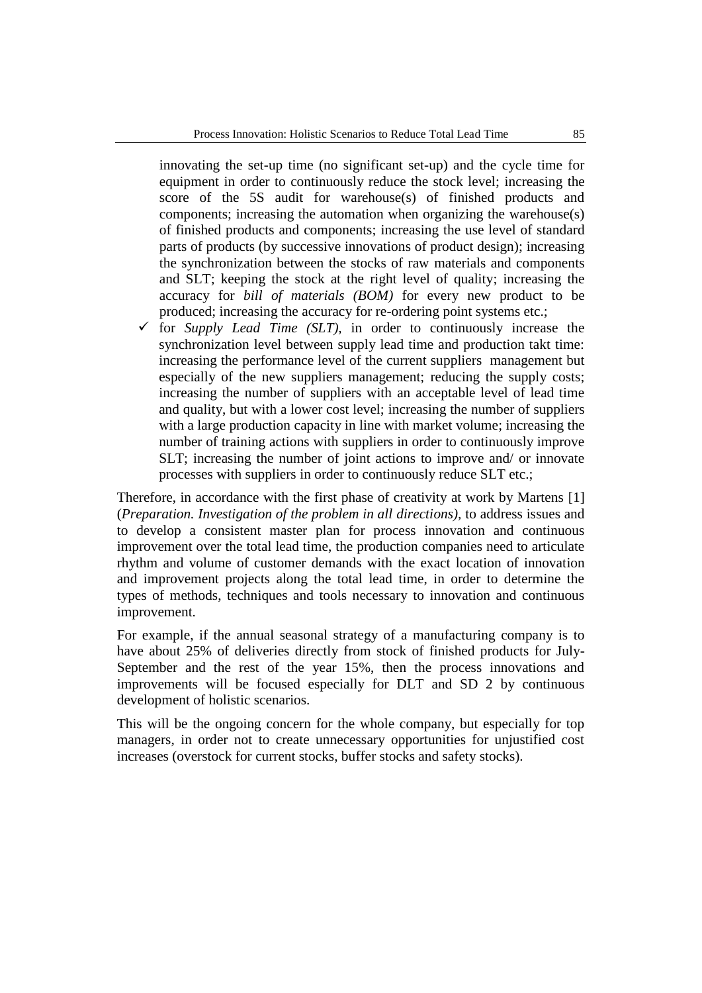innovating the set-up time (no significant set-up) and the cycle time for equipment in order to continuously reduce the stock level; increasing the score of the 5S audit for warehouse(s) of finished products and components; increasing the automation when organizing the warehouse(s) of finished products and components; increasing the use level of standard parts of products (by successive innovations of product design); increasing the synchronization between the stocks of raw materials and components and SLT; keeping the stock at the right level of quality; increasing the accuracy for *bill of materials (BOM)* for every new product to be produced; increasing the accuracy for re-ordering point systems etc.;

 for *Supply Lead Time (SLT),* in order to continuously increase the synchronization level between supply lead time and production takt time: increasing the performance level of the current suppliers management but especially of the new suppliers management; reducing the supply costs; increasing the number of suppliers with an acceptable level of lead time and quality, but with a lower cost level; increasing the number of suppliers with a large production capacity in line with market volume; increasing the number of training actions with suppliers in order to continuously improve SLT; increasing the number of joint actions to improve and/ or innovate processes with suppliers in order to continuously reduce SLT etc.;

Therefore, in accordance with the first phase of creativity at work by Martens [1] (*Preparation. Investigation of the problem in all directions),* to address issues and to develop a consistent master plan for process innovation and continuous improvement over the total lead time, the production companies need to articulate rhythm and volume of customer demands with the exact location of innovation and improvement projects along the total lead time, in order to determine the types of methods, techniques and tools necessary to innovation and continuous improvement.

For example, if the annual seasonal strategy of a manufacturing company is to have about 25% of deliveries directly from stock of finished products for July-September and the rest of the year 15%, then the process innovations and improvements will be focused especially for DLT and SD 2 by continuous development of holistic scenarios.

This will be the ongoing concern for the whole company, but especially for top managers, in order not to create unnecessary opportunities for unjustified cost increases (overstock for current stocks, buffer stocks and safety stocks).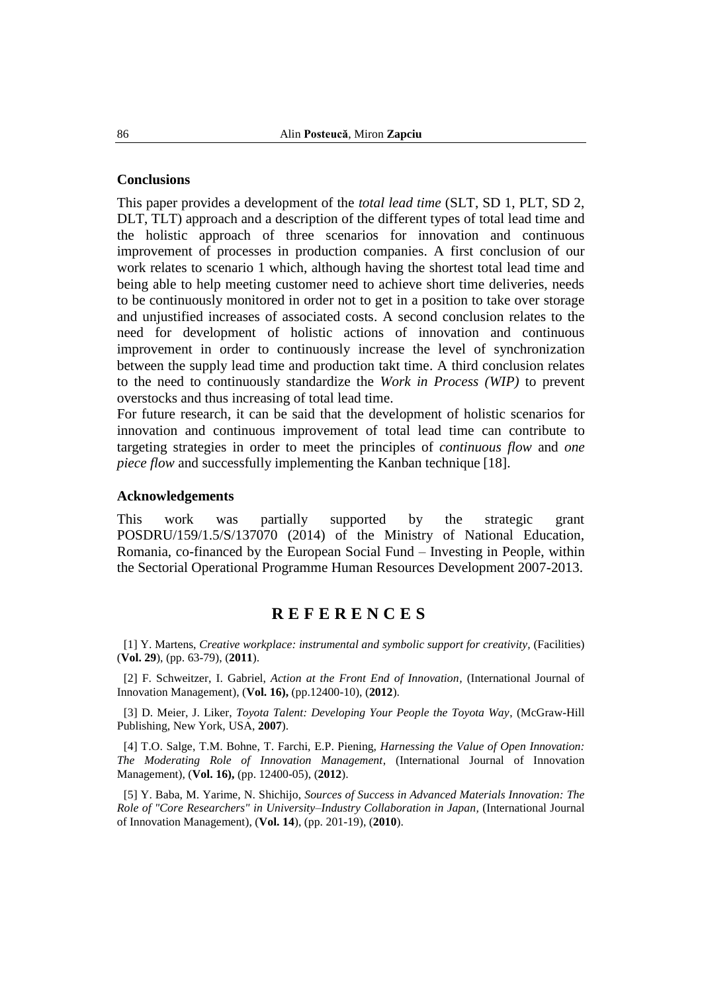#### **Conclusions**

This paper provides a development of the *total lead time* (SLT, SD 1, PLT, SD 2, DLT, TLT) approach and a description of the different types of total lead time and the holistic approach of three scenarios for innovation and continuous improvement of processes in production companies. A first conclusion of our work relates to scenario 1 which, although having the shortest total lead time and being able to help meeting customer need to achieve short time deliveries, needs to be continuously monitored in order not to get in a position to take over storage and unjustified increases of associated costs. A second conclusion relates to the need for development of holistic actions of innovation and continuous improvement in order to continuously increase the level of synchronization between the supply lead time and production takt time. A third conclusion relates to the need to continuously standardize the *Work in Process (WIP)* to prevent overstocks and thus increasing of total lead time.

For future research, it can be said that the development of holistic scenarios for innovation and continuous improvement of total lead time can contribute to targeting strategies in order to meet the principles of *continuous flow* and *one piece flow* and successfully implementing the Kanban technique [18].

### **Acknowledgements**

This work was partially supported by the strategic grant POSDRU/159/1.5/S/137070 (2014) of the Ministry of National Education, Romania, co-financed by the European Social Fund – Investing in People, within the Sectorial Operational Programme Human Resources Development 2007-2013.

# **R E F E R E N C E S**

[1] Y. Martens, *Creative workplace: instrumental and symbolic support for creativity,* (Facilities) (**Vol. 29**), (pp. 63-79), (**2011**).

[2] F. Schweitzer, I. Gabriel, *Action at the Front End of Innovation,* (International Journal of Innovation Management), (**Vol. 16),** (pp.12400-10), (**2012**).

[3] D. Meier, J. Liker, *Toyota Talent: Developing Your People the Toyota Way*, (McGraw-Hill Publishing, New York, USA, **2007**).

[4] T.O. Salge, T.M. Bohne, T. Farchi, E.P. Piening, *Harnessing the Value of Open Innovation: The Moderating Role of Innovation Management*, (International Journal of Innovation Management), (**Vol. 16),** (pp. 12400-05), (**2012**).

[5] Y. Baba, M. Yarime, N. Shichijo, *Sources of Success in Advanced Materials Innovation: The Role of "Core Researchers" in University–Industry Collaboration in Japan,* (International Journal of Innovation Management), (**Vol. 14**), (pp. 201-19), (**2010**).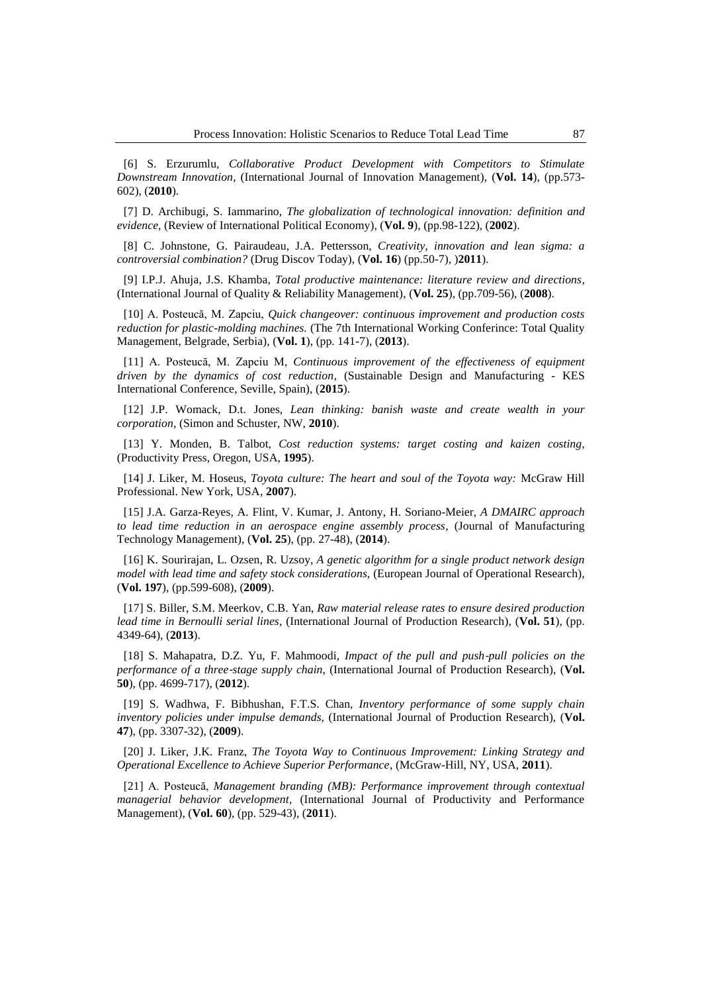[6] S. Erzurumlu, *Collaborative Product Development with Competitors to Stimulate Downstream Innovation*, (International Journal of Innovation Management), (**Vol. 14**), (pp.573- 602), (**2010**).

[7] D. Archibugi, S. Iammarino, *The globalization of technological innovation: definition and evidence,* (Review of International Political Economy), (**Vol. 9**), (pp.98-122), (**2002**).

[8] C. Johnstone, G. Pairaudeau, J.A. Pettersson, *Creativity, innovation and lean sigma: a controversial combination?* (Drug Discov Today), (**Vol. 16**) (pp.50-7), )**2011**).

[9] I.P.J. Ahuja, J.S. Khamba, *Total productive maintenance: literature review and directions,* (International Journal of Quality & Reliability Management), (**Vol. 25**), (pp.709-56), (**2008**).

[10] A. Posteucă, M. Zapciu, *Quick changeover: continuous improvement and production costs reduction for plastic-molding machines.* (The 7th International Working Conferince: Total Quality Management, Belgrade, Serbia), (**Vol. 1**), (pp. 141-7), (**2013**).

[11] A. Posteucă, M. Zapciu M, *Continuous improvement of the effectiveness of equipment driven by the dynamics of cost reduction,* (Sustainable Design and Manufacturing - KES International Conference, Seville, Spain), (**2015**).

[12] J.P. Womack, D.t. Jones, *Lean thinking: banish waste and create wealth in your corporation,* (Simon and Schuster, NW, **2010**).

[13] Y. Monden, B. Talbot, *Cost reduction systems: target costing and kaizen costing,*  (Productivity Press, Oregon, USA, **1995**).

[14] J. Liker, M. Hoseus, *Toyota culture: The heart and soul of the Toyota way:* McGraw Hill Professional. New York, USA, **2007**).

[15] J.A. Garza-Reyes, A. Flint, V. Kumar, J. Antony, H. Soriano-Meier, *A DMAIRC approach to lead time reduction in an aerospace engine assembly process*, (Journal of Manufacturing Technology Management), (**Vol. 25**), (pp. 27-48), (**2014**).

[16] K. Sourirajan, L. Ozsen, R. Uzsoy, *A genetic algorithm for a single product network design model with lead time and safety stock considerations,* (European Journal of Operational Research), (**Vol. 197**), (pp.599-608), (**2009**).

[17] S. Biller, S.M. Meerkov, C.B. Yan, *Raw material release rates to ensure desired production lead time in Bernoulli serial lines,* (International Journal of Production Research), (**Vol. 51**), (pp. 4349-64), (**2013**).

[18] S. Mahapatra, D.Z. Yu, F. Mahmoodi, *Impact of the pull and push*‐*pull policies on the performance of a three*‐*stage supply chain*, (International Journal of Production Research), (**Vol. 50**), (pp. 4699-717), (**2012**).

[19] S. Wadhwa, F. Bibhushan, F.T.S. Chan, *Inventory performance of some supply chain inventory policies under impulse demands,* (International Journal of Production Research), (**Vol. 47**), (pp. 3307-32), (**2009**).

[20] J. Liker, J.K. Franz, *The Toyota Way to Continuous Improvement: Linking Strategy and Operational Excellence to Achieve Superior Performance*, (McGraw-Hill, NY, USA, **2011**).

[21] A. Posteucă, *Management branding (MB): Performance improvement through contextual managerial behavior development,* (International Journal of Productivity and Performance Management), (**Vol. 60**), (pp. 529-43), (**2011**).